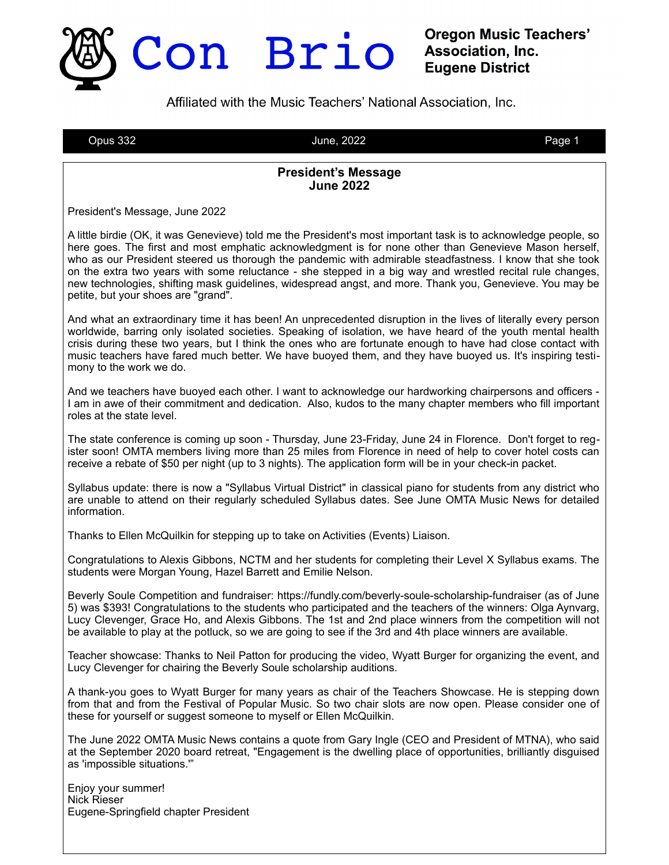

**Oregon Music Teachers' Association, Inc. Eugene District** 

Affiliated with the Music Teachers' National Association, Inc.

Opus 332 June, 2022 Page 1

#### **President's Message June 2022**

President's Message, June 2022

A little birdie (OK, it was Genevieve) told me the President's most important task is to acknowledge people, so here goes. The first and most emphatic acknowledgment is for none other than Genevieve Mason herself, who as our President steered us thorough the pandemic with admirable steadfastness. I know that she took on the extra two years with some reluctance - she stepped in a big way and wrestled recital rule changes, new technologies, shifting mask guidelines, widespread angst, and more. Thank you, Genevieve. You may be petite, but your shoes are "grand".

And what an extraordinary time it has been! An unprecedented disruption in the lives of literally every person worldwide, barring only isolated societies. Speaking of isolation, we have heard of the youth mental health crisis during these two years, but I think the ones who are fortunate enough to have had close contact with music teachers have fared much better. We have buoyed them, and they have buoyed us. It's inspiring testimony to the work we do.

And we teachers have buoyed each other. I want to acknowledge our hardworking chairpersons and officers - I am in awe of their commitment and dedication. Also, kudos to the many chapter members who fill important roles at the state level.

The state conference is coming up soon - Thursday, June 23-Friday, June 24 in Florence. Don't forget to register soon! OMTA members living more than 25 miles from Florence in need of help to cover hotel costs can receive a rebate of \$50 per night (up to 3 nights). The application form will be in your check-in packet.

Syllabus update: there is now a "Syllabus Virtual District" in classical piano for students from any district who are unable to attend on their regularly scheduled Syllabus dates. See June OMTA Music News for detailed information.

Thanks to Ellen McQuilkin for stepping up to take on Activities (Events) Liaison.

Congratulations to Alexis Gibbons, NCTM and her students for completing their Level X Syllabus exams. The students were Morgan Young, Hazel Barrett and Emilie Nelson.

Beverly Soule Competition and fundraiser: https://fundly.com/beverly-soule-scholarship-fundraiser (as of June 5) was \$393! Congratulations to the students who participated and the teachers of the winners: Olga Aynvarg, Lucy Clevenger, Grace Ho, and Alexis Gibbons. The 1st and 2nd place winners from the competition will not be available to play at the potluck, so we are going to see if the 3rd and 4th place winners are available.

Teacher showcase: Thanks to Neil Patton for producing the video, Wyatt Burger for organizing the event, and Lucy Clevenger for chairing the Beverly Soule scholarship auditions.

A thank-you goes to Wyatt Burger for many years as chair of the Teachers Showcase. He is stepping down from that and from the Festival of Popular Music. So two chair slots are now open. Please consider one of these for yourself or suggest someone to myself or Ellen McQuilkin.

The June 2022 OMTA Music News contains a quote from Gary Ingle (CEO and President of MTNA), who said at the September 2020 board retreat, "Engagement is the dwelling place of opportunities, brilliantly disguised as 'impossible situations.'"

Enjoy your summer! Nick Rieser Eugene-Springfield chapter President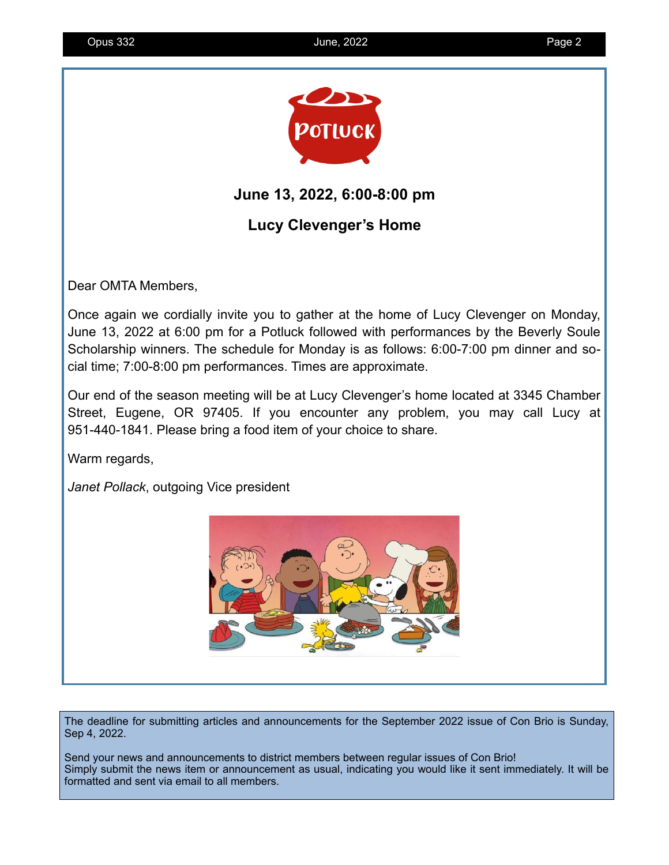

## **June 13, 2022, 6:00-8:00 pm**

# **Lucy Clevenger's Home**

Dear OMTA Members,

Once again we cordially invite you to gather at the home of Lucy Clevenger on Monday, June 13, 2022 at 6:00 pm for a Potluck followed with performances by the Beverly Soule Scholarship winners. The schedule for Monday is as follows: 6:00-7:00 pm dinner and social time; 7:00-8:00 pm performances. Times are approximate.

Our end of the season meeting will be at Lucy Clevenger's home located at 3345 Chamber Street, Eugene, OR 97405. If you encounter any problem, you may call Lucy at 951-440-1841. Please bring a food item of your choice to share.

Warm regards,

*Janet Pollack*, outgoing Vice president



The deadline for submitting articles and announcements for the September 2022 issue of Con Brio is Sunday, Sep 4, 2022.

Send your news and announcements to district members between regular issues of Con Brio! Simply submit the news item or announcement as usual, indicating you would like it sent immediately. It will be formatted and sent via email to all members.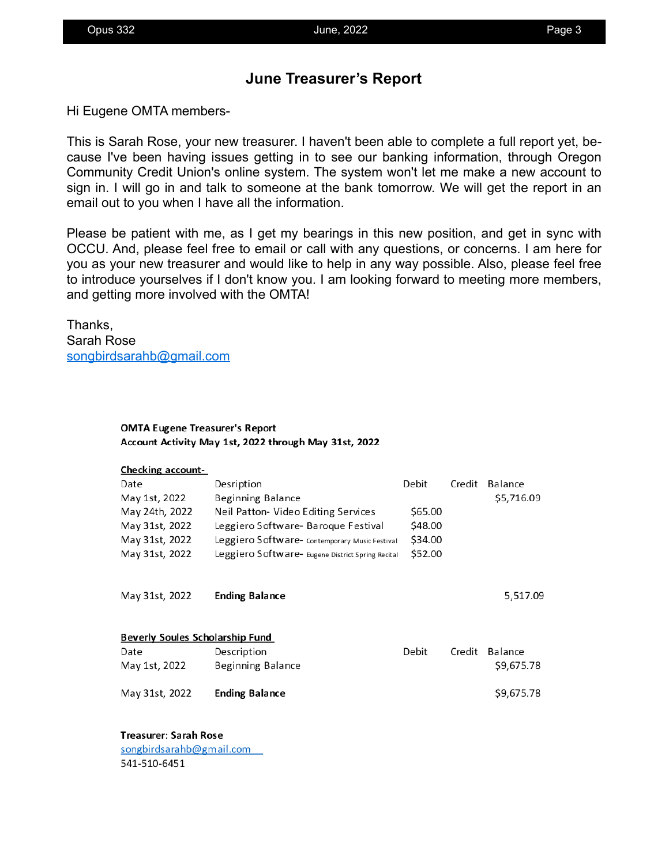## **June Treasurer's Report**

Hi Eugene OMTA members-

This is Sarah Rose, your new treasurer. I haven't been able to complete a full report yet, because I've been having issues getting in to see our banking information, through Oregon Community Credit Union's online system. The system won't let me make a new account to sign in. I will go in and talk to someone at the bank tomorrow. We will get the report in an email out to you when I have all the information.

Please be patient with me, as I get my bearings in this new position, and get in sync with OCCU. And, please feel free to email or call with any questions, or concerns. I am here for you as your new treasurer and would like to help in any way possible. Also, please feel free to introduce yourselves if I don't know you. I am looking forward to meeting more members, and getting more involved with the OMTA!

Thanks, Sarah Rose [songbirdsarahb@gmail.com](mailto:songbirdsarahb@gmail.com)

#### **OMTA Eugene Treasurer's Report** Account Activity May 1st, 2022 through May 31st, 2022

| <b>Checking account-</b>               |                                                   |         |        |            |
|----------------------------------------|---------------------------------------------------|---------|--------|------------|
| Date                                   | Desription                                        | Debit   | Credit | Balance    |
| May 1st, 2022                          | <b>Beginning Balance</b>                          |         |        | \$5,716.09 |
| May 24th, 2022                         | Neil Patton- Video Editing Services               | \$65.00 |        |            |
| May 31st, 2022                         | Leggiero Software- Baroque Festival               | \$48.00 |        |            |
| May 31st, 2022                         | Leggiero Software- Contemporary Music Festival    | \$34.00 |        |            |
| May 31st, 2022                         | Leggiero Software- Eugene District Spring Recital | \$52.00 |        |            |
| May 31st, 2022                         | <b>Ending Balance</b>                             |         |        | 5,517.09   |
| <b>Beverly Soules Scholarship Fund</b> |                                                   |         |        |            |
| Date                                   | Description                                       | Debit   | Credit | Balance    |
| May 1st, 2022                          | Beginning Balance                                 |         |        | \$9,675.78 |
| May 31st, 2022                         | <b>Ending Balance</b>                             |         |        | \$9,675.78 |
| Treasurer: Sarah Rose                  |                                                   |         |        |            |

songbirdsarahb@gmail.com 541-510-6451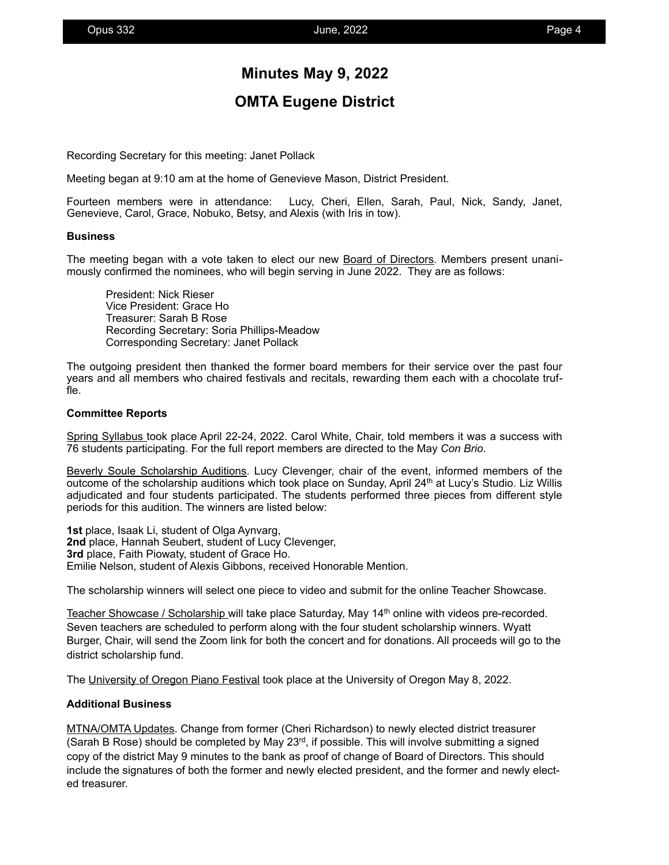## **Minutes May 9, 2022**

## **OMTA Eugene District**

Recording Secretary for this meeting: Janet Pollack

Meeting began at 9:10 am at the home of Genevieve Mason, District President.

Fourteen members were in attendance: Lucy, Cheri, Ellen, Sarah, Paul, Nick, Sandy, Janet, Genevieve, Carol, Grace, Nobuko, Betsy, and Alexis (with Iris in tow).

#### **Business**

The meeting began with a vote taken to elect our new Board of Directors. Members present unanimously confirmed the nominees, who will begin serving in June 2022. They are as follows:

President: Nick Rieser Vice President: Grace Ho Treasurer: Sarah B Rose Recording Secretary: Soria Phillips-Meadow Corresponding Secretary: Janet Pollack

The outgoing president then thanked the former board members for their service over the past four years and all members who chaired festivals and recitals, rewarding them each with a chocolate truffle.

#### **Committee Reports**

Spring Syllabus took place April 22-24, 2022. Carol White, Chair, told members it was a success with 76 students participating. For the full report members are directed to the May *Con Brio*.

Beverly Soule Scholarship Auditions. Lucy Clevenger, chair of the event, informed members of the outcome of the scholarship auditions which took place on Sunday, April 24<sup>th</sup> at Lucy's Studio. Liz Willis adjudicated and four students participated. The students performed three pieces from different style periods for this audition. The winners are listed below:

**1st** place, Isaak Li, student of Olga Aynvarg, **2nd** place, Hannah Seubert, student of Lucy Clevenger, **3rd** place, Faith Piowaty, student of Grace Ho. Emilie Nelson, student of Alexis Gibbons, received Honorable Mention.

The scholarship winners will select one piece to video and submit for the online Teacher Showcase.

Teacher Showcase / Scholarship will take place Saturday, May 14<sup>th</sup> online with videos pre-recorded. Seven teachers are scheduled to perform along with the four student scholarship winners. Wyatt Burger, Chair, will send the Zoom link for both the concert and for donations. All proceeds will go to the district scholarship fund.

The University of Oregon Piano Festival took place at the University of Oregon May 8, 2022.

#### **Additional Business**

MTNA/OMTA Updates. Change from former (Cheri Richardson) to newly elected district treasurer (Sarah B Rose) should be completed by May  $23^{rd}$ , if possible. This will involve submitting a signed copy of the district May 9 minutes to the bank as proof of change of Board of Directors. This should include the signatures of both the former and newly elected president, and the former and newly elected treasurer.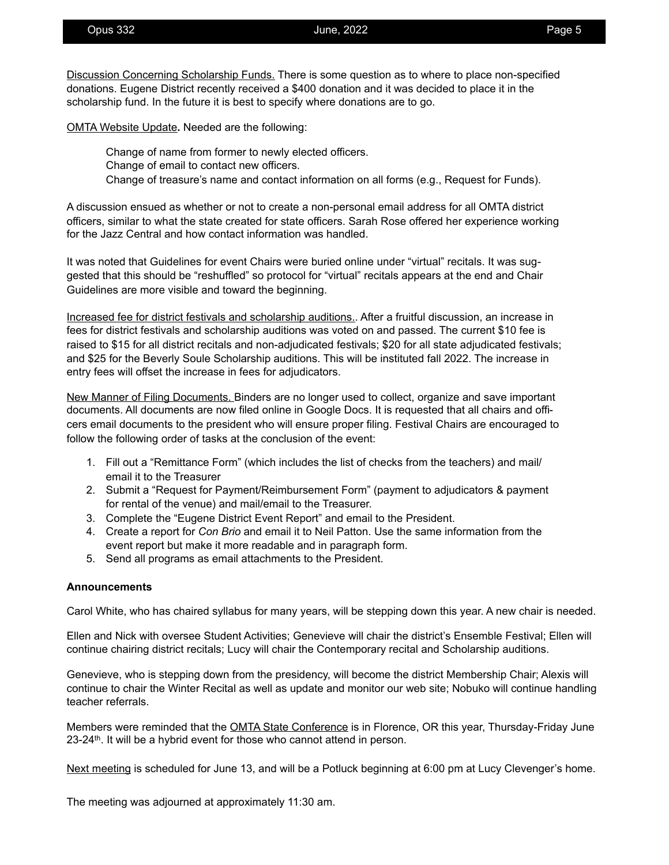Discussion Concerning Scholarship Funds. There is some question as to where to place non-specified donations. Eugene District recently received a \$400 donation and it was decided to place it in the scholarship fund. In the future it is best to specify where donations are to go.

OMTA Website Update**.** Needed are the following:

 Change of name from former to newly elected officers. Change of email to contact new officers. Change of treasure's name and contact information on all forms (e.g., Request for Funds).

A discussion ensued as whether or not to create a non-personal email address for all OMTA district officers, similar to what the state created for state officers. Sarah Rose offered her experience working for the Jazz Central and how contact information was handled.

It was noted that Guidelines for event Chairs were buried online under "virtual" recitals. It was suggested that this should be "reshuffled" so protocol for "virtual" recitals appears at the end and Chair Guidelines are more visible and toward the beginning.

Increased fee for district festivals and scholarship auditions.. After a fruitful discussion, an increase in fees for district festivals and scholarship auditions was voted on and passed. The current \$10 fee is raised to \$15 for all district recitals and non-adjudicated festivals; \$20 for all state adjudicated festivals; and \$25 for the Beverly Soule Scholarship auditions. This will be instituted fall 2022. The increase in entry fees will offset the increase in fees for adjudicators.

New Manner of Filing Documents. Binders are no longer used to collect, organize and save important documents. All documents are now filed online in Google Docs. It is requested that all chairs and officers email documents to the president who will ensure proper filing. Festival Chairs are encouraged to follow the following order of tasks at the conclusion of the event:

- 1. Fill out a "Remittance Form" (which includes the list of checks from the teachers) and mail/ email it to the Treasurer
- 2. Submit a "Request for Payment/Reimbursement Form" (payment to adjudicators & payment for rental of the venue) and mail/email to the Treasurer.
- 3. Complete the "Eugene District Event Report" and email to the President.
- 4. Create a report for *Con Brio* and email it to Neil Patton. Use the same information from the event report but make it more readable and in paragraph form.
- 5. Send all programs as email attachments to the President.

#### **Announcements**

Carol White, who has chaired syllabus for many years, will be stepping down this year. A new chair is needed.

Ellen and Nick with oversee Student Activities; Genevieve will chair the district's Ensemble Festival; Ellen will continue chairing district recitals; Lucy will chair the Contemporary recital and Scholarship auditions.

Genevieve, who is stepping down from the presidency, will become the district Membership Chair; Alexis will continue to chair the Winter Recital as well as update and monitor our web site; Nobuko will continue handling teacher referrals.

Members were reminded that the **OMTA State Conference** is in Florence, OR this year, Thursday-Friday June 23-24<sup>th</sup>. It will be a hybrid event for those who cannot attend in person.

Next meeting is scheduled for June 13, and will be a Potluck beginning at 6:00 pm at Lucy Clevenger's home.

The meeting was adjourned at approximately 11:30 am.